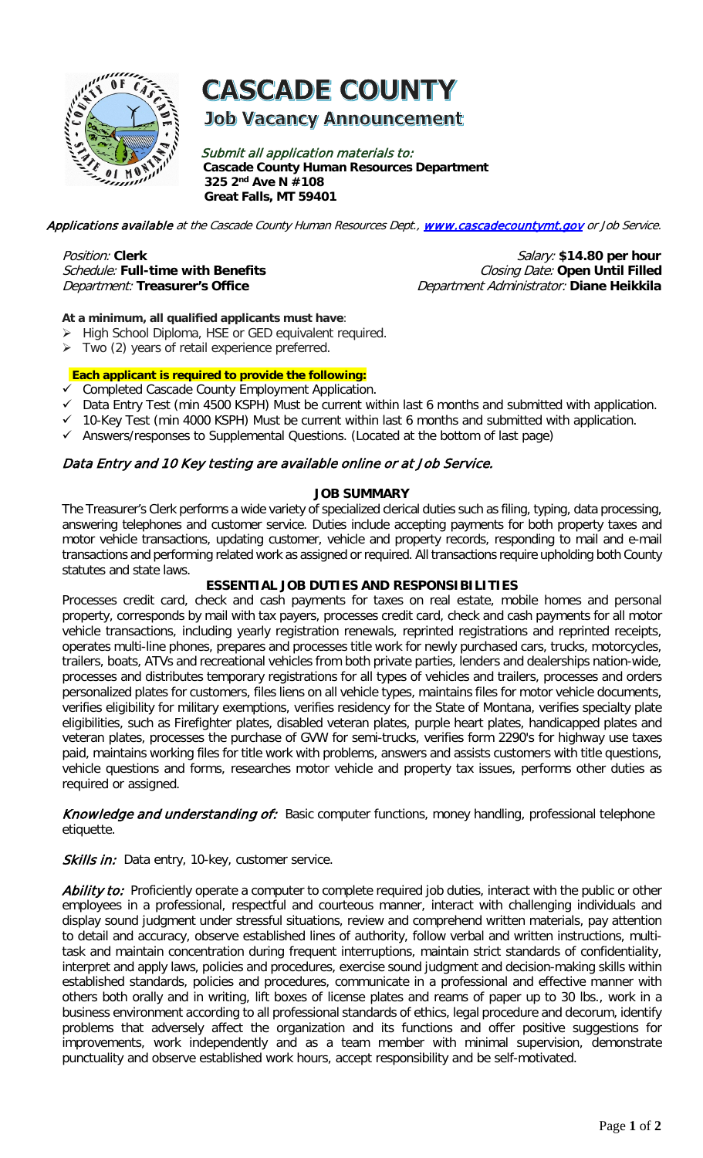

## **CASCADE COUNTY**

#### **Job Vacancy Announcement**

Submit all application materials to: **Cascade County Human Resources Department 325 2nd Ave N #108 Great Falls, MT 59401** 

Applications available at the Cascade County Human Resources Dept., [www.cascadecountymt.gov](http://www.cascadecountymt.gov/) or Job Service.

# Schedule: Full-time with Benefits

Position: Clerk **Position: Clerk** *Salary:* \$14.80 per hour<br>*Schedule:* Full-time with Benefits *Schedule:* Closing Date: Open Until Filled Department: **Treasurer's Office** Department Administrator: **Diane Heikkila**

#### **At a minimum, all qualified applicants must have**:

- > High School Diploma, HSE or GED equivalent required.
- $\triangleright$  Two (2) years of retail experience preferred.

#### **Each applicant is required to provide the following:**

- Completed Cascade County Employment Application.
- $\checkmark$  Data Entry Test (min 4500 KSPH) Must be current within last 6 months and submitted with application.
- 10-Key Test (min 4000 KSPH) Must be current within last 6 months and submitted with application.
- $\checkmark$  Answers/responses to Supplemental Questions. (Located at the bottom of last page)

#### Data Entry and 10 Key testing are available online or at Job Service.

#### **JOB SUMMARY**

The Treasurer's Clerk performs a wide variety of specialized clerical duties such as filing, typing, data processing, answering telephones and customer service. Duties include accepting payments for both property taxes and motor vehicle transactions, updating customer, vehicle and property records, responding to mail and e-mail transactions and performing related work as assigned or required. All transactions require upholding both County statutes and state laws.

#### **ESSENTIAL JOB DUTIES AND RESPONSIBILITIES**

Processes credit card, check and cash payments for taxes on real estate, mobile homes and personal property, corresponds by mail with tax payers, processes credit card, check and cash payments for all motor vehicle transactions, including yearly registration renewals, reprinted registrations and reprinted receipts, operates multi-line phones, prepares and processes title work for newly purchased cars, trucks, motorcycles, trailers, boats, ATVs and recreational vehicles from both private parties, lenders and dealerships nation-wide, processes and distributes temporary registrations for all types of vehicles and trailers, processes and orders personalized plates for customers, files liens on all vehicle types, maintains files for motor vehicle documents, verifies eligibility for military exemptions, verifies residency for the State of Montana, verifies specialty plate eligibilities, such as Firefighter plates, disabled veteran plates, purple heart plates, handicapped plates and veteran plates, processes the purchase of GVW for semi-trucks, verifies form 2290's for highway use taxes paid, maintains working files for title work with problems, answers and assists customers with title questions, vehicle questions and forms, researches motor vehicle and property tax issues, performs other duties as required or assigned.

Knowledge and understanding of: Basic computer functions, money handling, professional telephone etiquette.

Skills in: Data entry, 10-key, customer service.

Ability to: Proficiently operate a computer to complete required job duties, interact with the public or other employees in a professional, respectful and courteous manner, interact with challenging individuals and display sound judgment under stressful situations, review and comprehend written materials, pay attention to detail and accuracy, observe established lines of authority, follow verbal and written instructions, multitask and maintain concentration during frequent interruptions, maintain strict standards of confidentiality, interpret and apply laws, policies and procedures, exercise sound judgment and decision-making skills within established standards, policies and procedures, communicate in a professional and effective manner with others both orally and in writing, lift boxes of license plates and reams of paper up to 30 lbs., work in a business environment according to all professional standards of ethics, legal procedure and decorum, identify problems that adversely affect the organization and its functions and offer positive suggestions for improvements, work independently and as a team member with minimal supervision, demonstrate punctuality and observe established work hours, accept responsibility and be self-motivated.